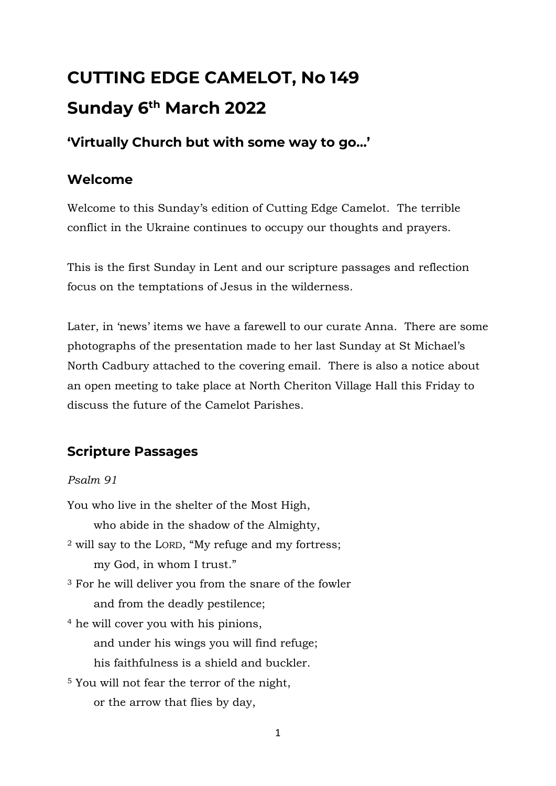# **CUTTING EDGE CAMELOT, No 149 Sunday 6 th March 2022**

## **'Virtually Church but with some way to go…'**

#### **Welcome**

Welcome to this Sunday's edition of Cutting Edge Camelot. The terrible conflict in the Ukraine continues to occupy our thoughts and prayers.

This is the first Sunday in Lent and our scripture passages and reflection focus on the temptations of Jesus in the wilderness.

Later, in 'news' items we have a farewell to our curate Anna. There are some photographs of the presentation made to her last Sunday at St Michael's North Cadbury attached to the covering email. There is also a notice about an open meeting to take place at North Cheriton Village Hall this Friday to discuss the future of the Camelot Parishes.

## **Scripture Passages**

#### *Psalm 91*

You who live in the shelter of the Most High, who abide in the shadow of the Almighty, <sup>2</sup> will say to the LORD, "My refuge and my fortress; my God, in whom I trust." <sup>3</sup> For he will deliver you from the snare of the fowler and from the deadly pestilence; <sup>4</sup> he will cover you with his pinions, and under his wings you will find refuge; his faithfulness is a shield and buckler. <sup>5</sup> You will not fear the terror of the night,

or the arrow that flies by day,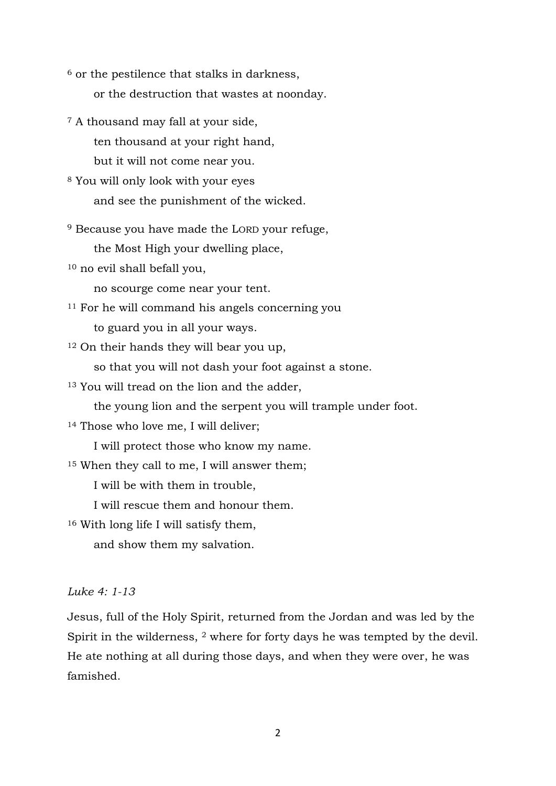<sup>6</sup> or the pestilence that stalks in darkness, or the destruction that wastes at noonday.

<sup>7</sup> A thousand may fall at your side, ten thousand at your right hand, but it will not come near you.

<sup>8</sup> You will only look with your eyes and see the punishment of the wicked.

<sup>9</sup> Because you have made the LORD your refuge,

the Most High your dwelling place,

<sup>10</sup> no evil shall befall you,

no scourge come near your tent.

<sup>11</sup> For he will command his angels concerning you to guard you in all your ways.

<sup>12</sup> On their hands they will bear you up,

so that you will not dash your foot against a stone.

<sup>13</sup> You will tread on the lion and the adder,

the young lion and the serpent you will trample under foot.

<sup>14</sup> Those who love me, I will deliver;

I will protect those who know my name.

<sup>15</sup> When they call to me, I will answer them;

I will be with them in trouble,

I will rescue them and honour them.

<sup>16</sup> With long life I will satisfy them,

and show them my salvation.

#### *Luke 4: 1-13*

Jesus, full of the Holy Spirit, returned from the Jordan and was led by the Spirit in the wilderness, <sup>2</sup> where for forty days he was tempted by the devil. He ate nothing at all during those days, and when they were over, he was famished.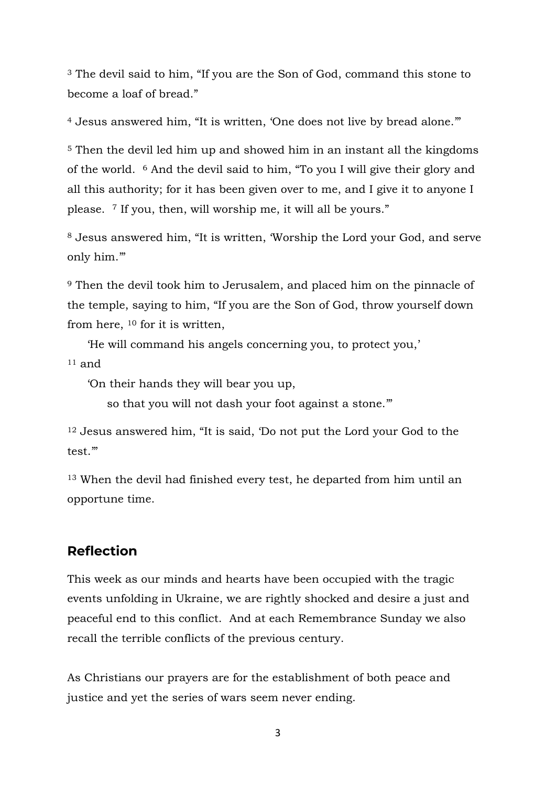<sup>3</sup> The devil said to him, "If you are the Son of God, command this stone to become a loaf of bread."

<sup>4</sup> Jesus answered him, "It is written, 'One does not live by bread alone.""

<sup>5</sup> Then the devil led him up and showed him in an instant all the kingdoms of the world. <sup>6</sup> And the devil said to him, "To you I will give their glory and all this authority; for it has been given over to me, and I give it to anyone I please. <sup>7</sup> If you, then, will worship me, it will all be yours."

<sup>8</sup> Jesus answered him, "It is written, 'Worship the Lord your God, and serve only him.'"

<sup>9</sup> Then the devil took him to Jerusalem, and placed him on the pinnacle of the temple, saying to him, "If you are the Son of God, throw yourself down from here, <sup>10</sup> for it is written,

'He will command his angels concerning you, to protect you,'

 $11$  and

'On their hands they will bear you up,

so that you will not dash your foot against a stone.'"

<sup>12</sup> Jesus answered him, "It is said, 'Do not put the Lord your God to the test.'"

<sup>13</sup> When the devil had finished every test, he departed from him until an opportune time.

#### **Reflection**

This week as our minds and hearts have been occupied with the tragic events unfolding in Ukraine, we are rightly shocked and desire a just and peaceful end to this conflict. And at each Remembrance Sunday we also recall the terrible conflicts of the previous century.

As Christians our prayers are for the establishment of both peace and justice and yet the series of wars seem never ending.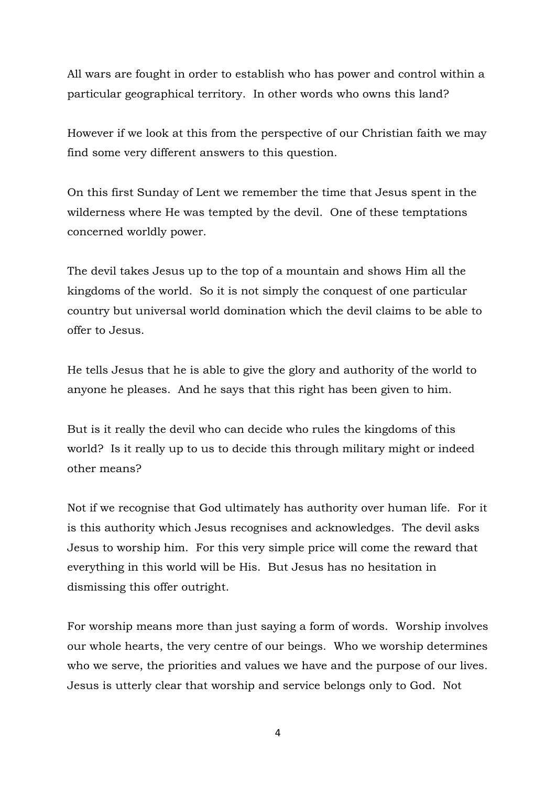All wars are fought in order to establish who has power and control within a particular geographical territory. In other words who owns this land?

However if we look at this from the perspective of our Christian faith we may find some very different answers to this question.

On this first Sunday of Lent we remember the time that Jesus spent in the wilderness where He was tempted by the devil. One of these temptations concerned worldly power.

The devil takes Jesus up to the top of a mountain and shows Him all the kingdoms of the world. So it is not simply the conquest of one particular country but universal world domination which the devil claims to be able to offer to Jesus.

He tells Jesus that he is able to give the glory and authority of the world to anyone he pleases. And he says that this right has been given to him.

But is it really the devil who can decide who rules the kingdoms of this world? Is it really up to us to decide this through military might or indeed other means?

Not if we recognise that God ultimately has authority over human life. For it is this authority which Jesus recognises and acknowledges. The devil asks Jesus to worship him. For this very simple price will come the reward that everything in this world will be His. But Jesus has no hesitation in dismissing this offer outright.

For worship means more than just saying a form of words. Worship involves our whole hearts, the very centre of our beings. Who we worship determines who we serve, the priorities and values we have and the purpose of our lives. Jesus is utterly clear that worship and service belongs only to God. Not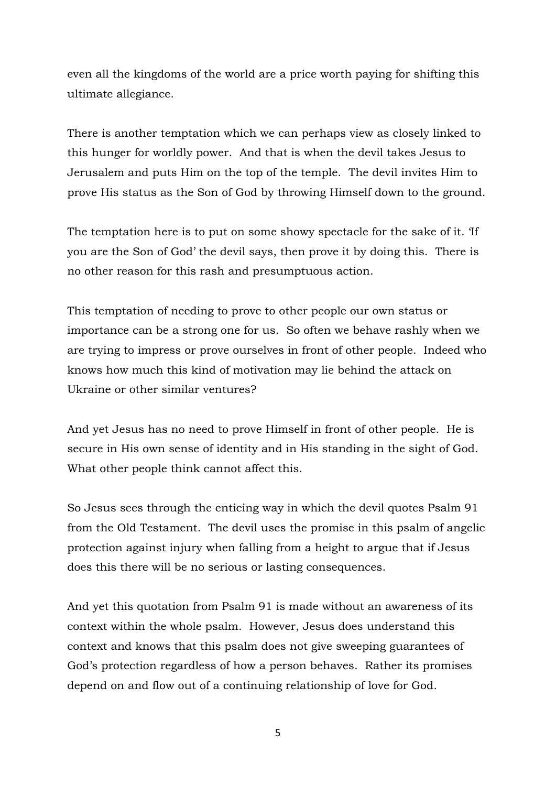even all the kingdoms of the world are a price worth paying for shifting this ultimate allegiance.

There is another temptation which we can perhaps view as closely linked to this hunger for worldly power. And that is when the devil takes Jesus to Jerusalem and puts Him on the top of the temple. The devil invites Him to prove His status as the Son of God by throwing Himself down to the ground.

The temptation here is to put on some showy spectacle for the sake of it. 'If you are the Son of God' the devil says, then prove it by doing this. There is no other reason for this rash and presumptuous action.

This temptation of needing to prove to other people our own status or importance can be a strong one for us. So often we behave rashly when we are trying to impress or prove ourselves in front of other people. Indeed who knows how much this kind of motivation may lie behind the attack on Ukraine or other similar ventures?

And yet Jesus has no need to prove Himself in front of other people. He is secure in His own sense of identity and in His standing in the sight of God. What other people think cannot affect this.

So Jesus sees through the enticing way in which the devil quotes Psalm 91 from the Old Testament. The devil uses the promise in this psalm of angelic protection against injury when falling from a height to argue that if Jesus does this there will be no serious or lasting consequences.

And yet this quotation from Psalm 91 is made without an awareness of its context within the whole psalm. However, Jesus does understand this context and knows that this psalm does not give sweeping guarantees of God's protection regardless of how a person behaves. Rather its promises depend on and flow out of a continuing relationship of love for God.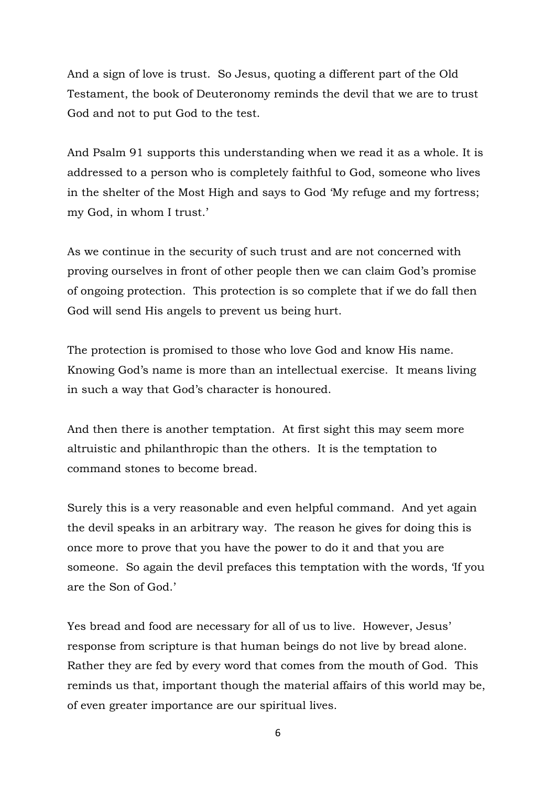And a sign of love is trust. So Jesus, quoting a different part of the Old Testament, the book of Deuteronomy reminds the devil that we are to trust God and not to put God to the test.

And Psalm 91 supports this understanding when we read it as a whole. It is addressed to a person who is completely faithful to God, someone who lives in the shelter of the Most High and says to God 'My refuge and my fortress; my God, in whom I trust.'

As we continue in the security of such trust and are not concerned with proving ourselves in front of other people then we can claim God's promise of ongoing protection. This protection is so complete that if we do fall then God will send His angels to prevent us being hurt.

The protection is promised to those who love God and know His name. Knowing God's name is more than an intellectual exercise. It means living in such a way that God's character is honoured.

And then there is another temptation. At first sight this may seem more altruistic and philanthropic than the others. It is the temptation to command stones to become bread.

Surely this is a very reasonable and even helpful command. And yet again the devil speaks in an arbitrary way. The reason he gives for doing this is once more to prove that you have the power to do it and that you are someone. So again the devil prefaces this temptation with the words, 'If you are the Son of God.'

Yes bread and food are necessary for all of us to live. However, Jesus' response from scripture is that human beings do not live by bread alone. Rather they are fed by every word that comes from the mouth of God. This reminds us that, important though the material affairs of this world may be, of even greater importance are our spiritual lives.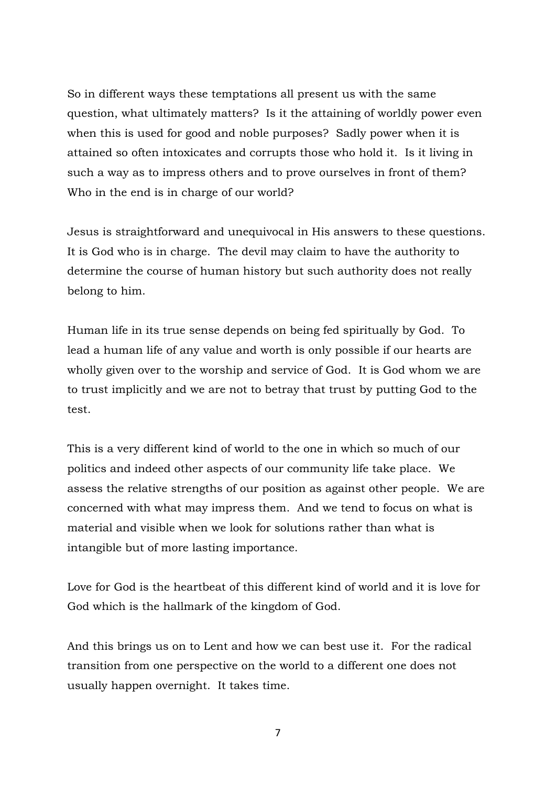So in different ways these temptations all present us with the same question, what ultimately matters? Is it the attaining of worldly power even when this is used for good and noble purposes? Sadly power when it is attained so often intoxicates and corrupts those who hold it. Is it living in such a way as to impress others and to prove ourselves in front of them? Who in the end is in charge of our world?

Jesus is straightforward and unequivocal in His answers to these questions. It is God who is in charge. The devil may claim to have the authority to determine the course of human history but such authority does not really belong to him.

Human life in its true sense depends on being fed spiritually by God. To lead a human life of any value and worth is only possible if our hearts are wholly given over to the worship and service of God. It is God whom we are to trust implicitly and we are not to betray that trust by putting God to the test.

This is a very different kind of world to the one in which so much of our politics and indeed other aspects of our community life take place. We assess the relative strengths of our position as against other people. We are concerned with what may impress them. And we tend to focus on what is material and visible when we look for solutions rather than what is intangible but of more lasting importance.

Love for God is the heartbeat of this different kind of world and it is love for God which is the hallmark of the kingdom of God.

And this brings us on to Lent and how we can best use it. For the radical transition from one perspective on the world to a different one does not usually happen overnight. It takes time.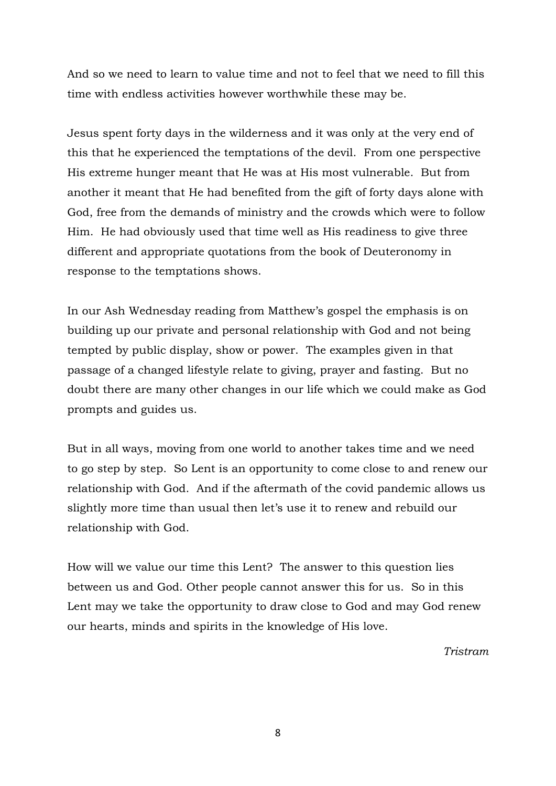And so we need to learn to value time and not to feel that we need to fill this time with endless activities however worthwhile these may be.

Jesus spent forty days in the wilderness and it was only at the very end of this that he experienced the temptations of the devil. From one perspective His extreme hunger meant that He was at His most vulnerable. But from another it meant that He had benefited from the gift of forty days alone with God, free from the demands of ministry and the crowds which were to follow Him. He had obviously used that time well as His readiness to give three different and appropriate quotations from the book of Deuteronomy in response to the temptations shows.

In our Ash Wednesday reading from Matthew's gospel the emphasis is on building up our private and personal relationship with God and not being tempted by public display, show or power. The examples given in that passage of a changed lifestyle relate to giving, prayer and fasting. But no doubt there are many other changes in our life which we could make as God prompts and guides us.

But in all ways, moving from one world to another takes time and we need to go step by step. So Lent is an opportunity to come close to and renew our relationship with God. And if the aftermath of the covid pandemic allows us slightly more time than usual then let's use it to renew and rebuild our relationship with God.

How will we value our time this Lent? The answer to this question lies between us and God. Other people cannot answer this for us. So in this Lent may we take the opportunity to draw close to God and may God renew our hearts, minds and spirits in the knowledge of His love.

*Tristram*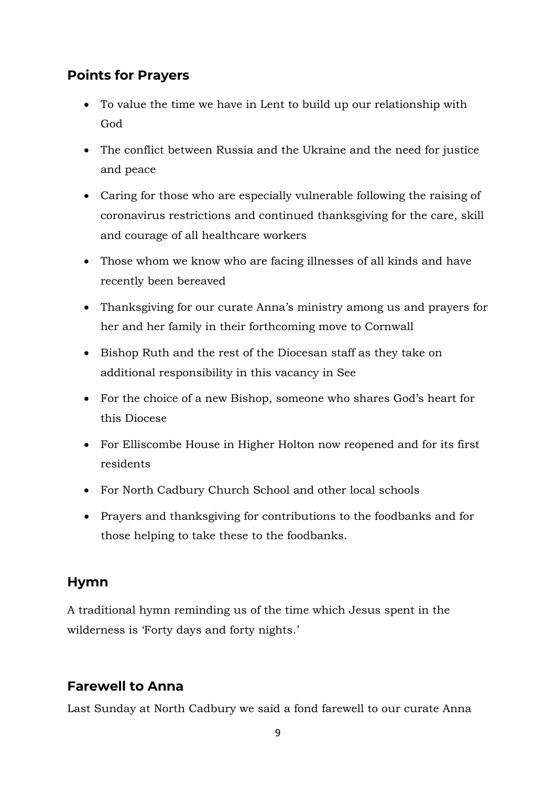## **Points for Prayers**

- To value the time we have in Lent to build up our relationship with God
- The conflict between Russia and the Ukraine and the need for justice and peace
- Caring for those who are especially vulnerable following the raising of coronavirus restrictions and continued thanksgiving for the care, skill and courage of all healthcare workers
- Those whom we know who are facing illnesses of all kinds and have recently been bereaved
- Thanksgiving for our curate Anna's ministry among us and prayers for her and her family in their forthcoming move to Cornwall
- Bishop Ruth and the rest of the Diocesan staff as they take on additional responsibility in this vacancy in See
- For the choice of a new Bishop, someone who shares God's heart for this Diocese
- For Elliscombe House in Higher Holton now reopened and for its first residents
- For North Cadbury Church School and other local schools
- Prayers and thanksgiving for contributions to the foodbanks and for those helping to take these to the foodbanks.

## **Hymn**

A traditional hymn reminding us of the time which Jesus spent in the wilderness is 'Forty days and forty nights.'

## **Farewell to Anna**

Last Sunday at North Cadbury we said a fond farewell to our curate Anna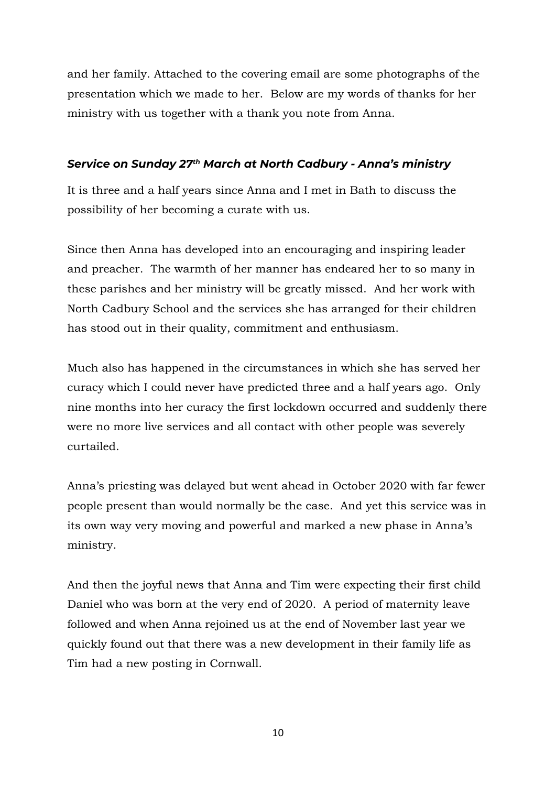and her family. Attached to the covering email are some photographs of the presentation which we made to her. Below are my words of thanks for her ministry with us together with a thank you note from Anna.

#### *Service on Sunday 27th March at North Cadbury - Anna's ministry*

It is three and a half years since Anna and I met in Bath to discuss the possibility of her becoming a curate with us.

Since then Anna has developed into an encouraging and inspiring leader and preacher. The warmth of her manner has endeared her to so many in these parishes and her ministry will be greatly missed. And her work with North Cadbury School and the services she has arranged for their children has stood out in their quality, commitment and enthusiasm.

Much also has happened in the circumstances in which she has served her curacy which I could never have predicted three and a half years ago. Only nine months into her curacy the first lockdown occurred and suddenly there were no more live services and all contact with other people was severely curtailed.

Anna's priesting was delayed but went ahead in October 2020 with far fewer people present than would normally be the case. And yet this service was in its own way very moving and powerful and marked a new phase in Anna's ministry.

And then the joyful news that Anna and Tim were expecting their first child Daniel who was born at the very end of 2020. A period of maternity leave followed and when Anna rejoined us at the end of November last year we quickly found out that there was a new development in their family life as Tim had a new posting in Cornwall.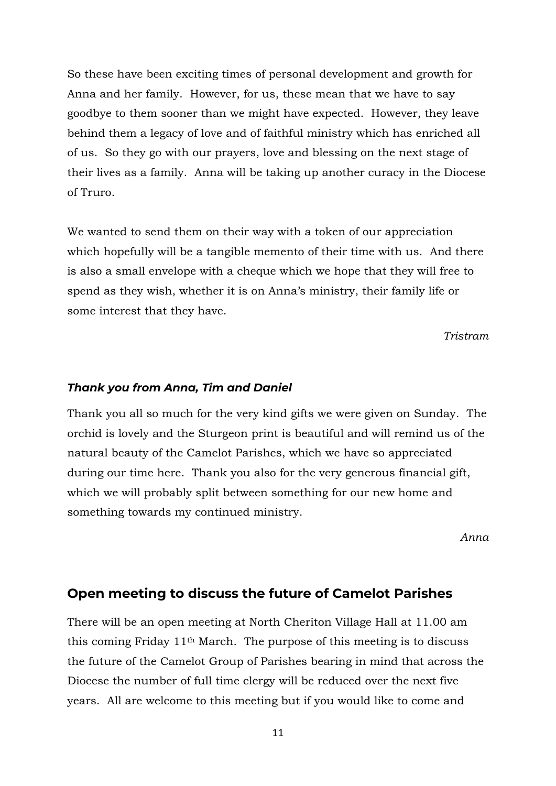So these have been exciting times of personal development and growth for Anna and her family. However, for us, these mean that we have to say goodbye to them sooner than we might have expected. However, they leave behind them a legacy of love and of faithful ministry which has enriched all of us. So they go with our prayers, love and blessing on the next stage of their lives as a family. Anna will be taking up another curacy in the Diocese of Truro.

We wanted to send them on their way with a token of our appreciation which hopefully will be a tangible memento of their time with us. And there is also a small envelope with a cheque which we hope that they will free to spend as they wish, whether it is on Anna's ministry, their family life or some interest that they have.

*Tristram*

#### *Thank you from Anna, Tim and Daniel*

Thank you all so much for the very kind gifts we were given on Sunday. The orchid is lovely and the Sturgeon print is beautiful and will remind us of the natural beauty of the Camelot Parishes, which we have so appreciated during our time here. Thank you also for the very generous financial gift, which we will probably split between something for our new home and something towards my continued ministry.

*Anna*

#### **Open meeting to discuss the future of Camelot Parishes**

There will be an open meeting at North Cheriton Village Hall at 11.00 am this coming Friday 11th March. The purpose of this meeting is to discuss the future of the Camelot Group of Parishes bearing in mind that across the Diocese the number of full time clergy will be reduced over the next five years. All are welcome to this meeting but if you would like to come and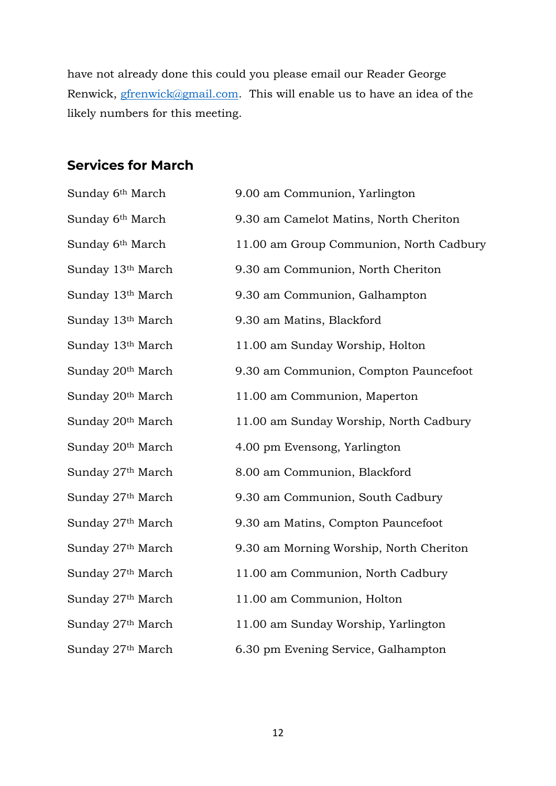have not already done this could you please email our Reader George Renwick, **gfrenwick@gmail.com.** This will enable us to have an idea of the likely numbers for this meeting.

#### **Services for March**

| Sunday 6 <sup>th</sup> March  | 9.00 am Communion, Yarlington           |
|-------------------------------|-----------------------------------------|
| Sunday 6 <sup>th</sup> March  | 9.30 am Camelot Matins, North Cheriton  |
| Sunday 6 <sup>th</sup> March  | 11.00 am Group Communion, North Cadbury |
| Sunday 13 <sup>th</sup> March | 9.30 am Communion, North Cheriton       |
| Sunday 13 <sup>th</sup> March | 9.30 am Communion, Galhampton           |
| Sunday 13 <sup>th</sup> March | 9.30 am Matins, Blackford               |
| Sunday 13 <sup>th</sup> March | 11.00 am Sunday Worship, Holton         |
| Sunday 20 <sup>th</sup> March | 9.30 am Communion, Compton Pauncefoot   |
| Sunday 20 <sup>th</sup> March | 11.00 am Communion, Maperton            |
| Sunday 20 <sup>th</sup> March | 11.00 am Sunday Worship, North Cadbury  |
| Sunday 20 <sup>th</sup> March | 4.00 pm Evensong, Yarlington            |
| Sunday 27th March             | 8.00 am Communion, Blackford            |
| Sunday 27 <sup>th</sup> March | 9.30 am Communion, South Cadbury        |
| Sunday 27 <sup>th</sup> March | 9.30 am Matins, Compton Pauncefoot      |
| Sunday 27 <sup>th</sup> March | 9.30 am Morning Worship, North Cheriton |
| Sunday 27 <sup>th</sup> March | 11.00 am Communion, North Cadbury       |
| Sunday 27 <sup>th</sup> March | 11.00 am Communion, Holton              |
| Sunday 27 <sup>th</sup> March | 11.00 am Sunday Worship, Yarlington     |
| Sunday 27 <sup>th</sup> March | 6.30 pm Evening Service, Galhampton     |